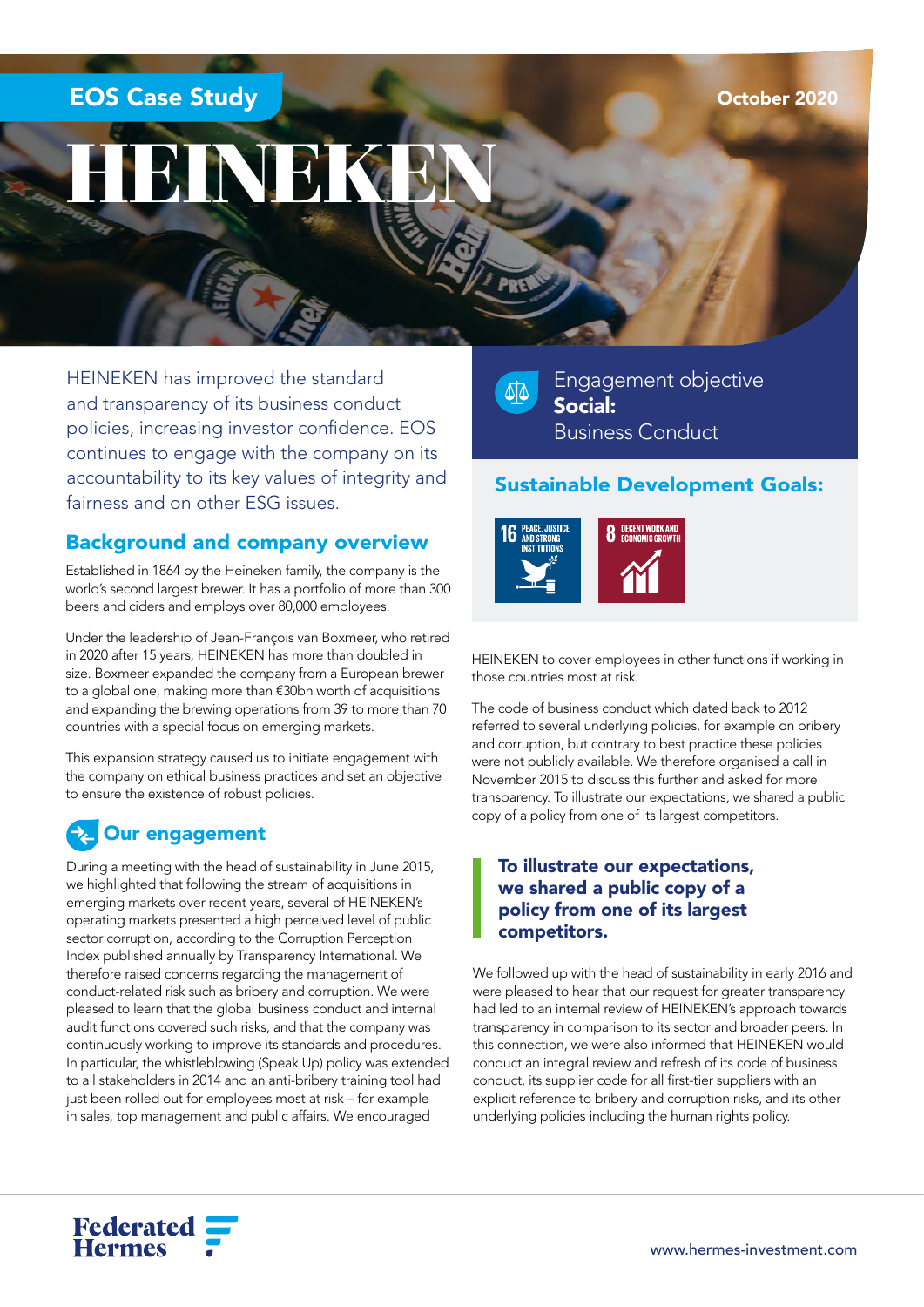## EOS Case Study

# HEINEKEN

HEINEKEN has improved the standard and transparency of its business conduct policies, increasing investor confidence. EOS continues to engage with the company on its accountability to its key values of integrity and accountability to its key values of integrity and **Sustainable Development Goals:**<br>fairness and on other ESG issues.

#### Background and company overview

Established in 1864 by the Heineken family, the company is the world's second largest brewer. It has a portfolio of more than 300 beers and ciders and employs over 80,000 employees.

Under the leadership of Jean-François van Boxmeer, who retired in 2020 after 15 years, HEINEKEN has more than doubled in size. Boxmeer expanded the company from a European brewer to a global one, making more than €30bn worth of acquisitions and expanding the brewing operations from 39 to more than 70 countries with a special focus on emerging markets.

This expansion strategy caused us to initiate engagement with the company on ethical business practices and set an objective to ensure the existence of robust policies.

## Our engagement

During a meeting with the head of sustainability in June 2015, we highlighted that following the stream of acquisitions in emerging markets over recent years, several of HEINEKEN's operating markets presented a high perceived level of public sector corruption, according to the Corruption Perception Index published annually by Transparency International. We therefore raised concerns regarding the management of conduct-related risk such as bribery and corruption. We were pleased to learn that the global business conduct and internal audit functions covered such risks, and that the company was continuously working to improve its standards and procedures. In particular, the whistleblowing (Speak Up) policy was extended to all stakeholders in 2014 and an anti-bribery training tool had just been rolled out for employees most at risk – for example in sales, top management and public affairs. We encouraged

 $\Delta$ 

Engagement objective Social: Business Conduct



HEINEKEN to cover employees in other functions if working in those countries most at risk.

The code of business conduct which dated back to 2012 referred to several underlying policies, for example on bribery and corruption, but contrary to best practice these policies were not publicly available. We therefore organised a call in November 2015 to discuss this further and asked for more transparency. To illustrate our expectations, we shared a public copy of a policy from one of its largest competitors.

#### To illustrate our expectations, we shared a public copy of a policy from one of its largest competitors.

We followed up with the head of sustainability in early 2016 and were pleased to hear that our request for greater transparency had led to an internal review of HEINEKEN's approach towards transparency in comparison to its sector and broader peers. In this connection, we were also informed that HEINEKEN would conduct an integral review and refresh of its code of business conduct, its supplier code for all first-tier suppliers with an explicit reference to bribery and corruption risks, and its other underlying policies including the human rights policy.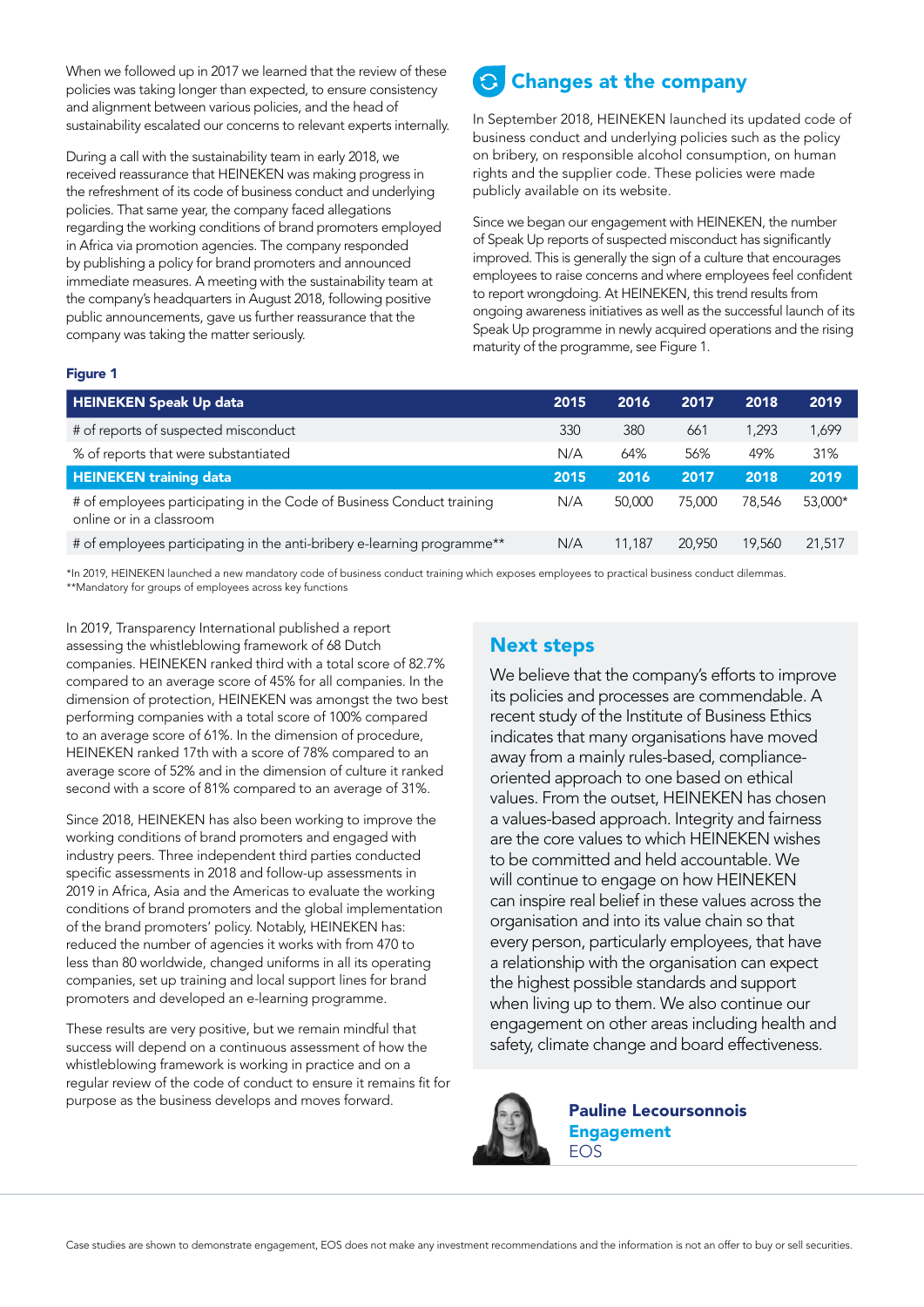When we followed up in 2017 we learned that the review of these policies was taking longer than expected, to ensure consistency and alignment between various policies, and the head of sustainability escalated our concerns to relevant experts internally.

During a call with the sustainability team in early 2018, we received reassurance that HEINEKEN was making progress in the refreshment of its code of business conduct and underlying policies. That same year, the company faced allegations regarding the working conditions of brand promoters employed in Africa via promotion agencies. The company responded by publishing a policy for brand promoters and announced immediate measures. A meeting with the sustainability team at the company's headquarters in August 2018, following positive public announcements, gave us further reassurance that the company was taking the matter seriously.

## Changes at the company

In September 2018, HEINEKEN launched its updated code of business conduct and underlying policies such as the policy on bribery, on responsible alcohol consumption, on human rights and the supplier code. These policies were made publicly available on its website.

Since we began our engagement with HEINEKEN, the number of Speak Up reports of suspected misconduct has significantly improved. This is generally the sign of a culture that encourages employees to raise concerns and where employees feel confident to report wrongdoing. At HEINEKEN, this trend results from ongoing awareness initiatives as well as the successful launch of its Speak Up programme in newly acquired operations and the rising maturity of the programme, see Figure 1.

#### Figure 1

| <b>HEINEKEN Speak Up data</b>                                                                     | 2015 | 2016   | 2017   | 2018   | 2019    |
|---------------------------------------------------------------------------------------------------|------|--------|--------|--------|---------|
| # of reports of suspected misconduct                                                              | 330  | 380    | 661    | 1.293  | 1,699   |
| % of reports that were substantiated                                                              | N/A  | 64%    | 56%    | 49%    | 31%     |
| <b>HEINEKEN training data</b>                                                                     | 2015 | 2016   | 2017   | 2018   | 2019    |
| # of employees participating in the Code of Business Conduct training<br>online or in a classroom | N/A  | 50,000 | 75.000 | 78.546 | 53,000* |
| # of employees participating in the anti-bribery e-learning programme**                           | N/A  | 11.187 | 20,950 | 19,560 | 21,517  |

\*In 2019, HEINEKEN launched a new mandatory code of business conduct training which exposes employees to practical business conduct dilemmas. \*\*Mandatory for groups of employees across key functions

In 2019, Transparency International published a report assessing the whistleblowing framework of 68 Dutch companies. HEINEKEN ranked third with a total score of 82.7% compared to an average score of 45% for all companies. In the dimension of protection, HEINEKEN was amongst the two best performing companies with a total score of 100% compared to an average score of 61%. In the dimension of procedure, HEINEKEN ranked 17th with a score of 78% compared to an average score of 52% and in the dimension of culture it ranked second with a score of 81% compared to an average of 31%.

Since 2018, HEINEKEN has also been working to improve the working conditions of brand promoters and engaged with industry peers. Three independent third parties conducted specific assessments in 2018 and follow-up assessments in 2019 in Africa, Asia and the Americas to evaluate the working conditions of brand promoters and the global implementation of the brand promoters' policy. Notably, HEINEKEN has: reduced the number of agencies it works with from 470 to less than 80 worldwide, changed uniforms in all its operating companies, set up training and local support lines for brand promoters and developed an e-learning programme.

These results are very positive, but we remain mindful that success will depend on a continuous assessment of how the whistleblowing framework is working in practice and on a regular review of the code of conduct to ensure it remains fit for purpose as the business develops and moves forward.

#### Next steps

We believe that the company's efforts to improve its policies and processes are commendable. A recent study of the Institute of Business Ethics indicates that many organisations have moved away from a mainly rules-based, complianceoriented approach to one based on ethical values. From the outset, HEINEKEN has chosen a values-based approach. Integrity and fairness are the core values to which HEINEKEN wishes to be committed and held accountable. We will continue to engage on how HEINEKEN can inspire real belief in these values across the organisation and into its value chain so that every person, particularly employees, that have a relationship with the organisation can expect the highest possible standards and support when living up to them. We also continue our engagement on other areas including health and safety, climate change and board effectiveness.



Pauline Lecoursonnois **Engagement** EOS